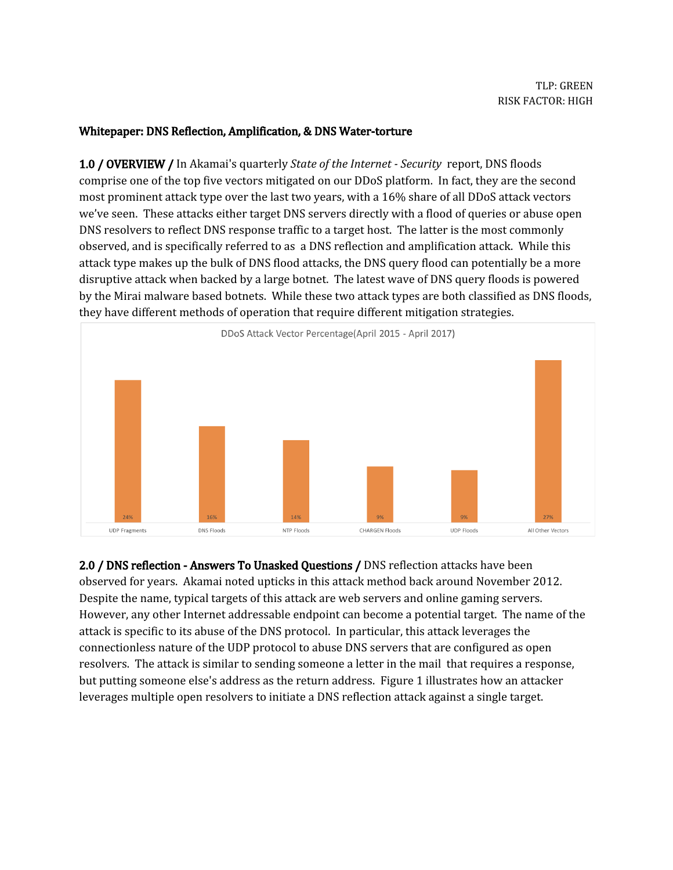### Whitepaper: DNS Reflection, Amplification, & DNS Water-torture

1.0 / OVERVIEW / In Akamai's quarterly *State of the Internet - Security* report, DNS floods comprise one of the top five vectors mitigated on our DDoS platform. In fact, they are the second most prominent attack type over the last two years, with a 16% share of all DDoS attack vectors we've seen. These attacks either target DNS servers directly with a flood of queries or abuse open DNS resolvers to reflect DNS response traffic to a target host. The latter is the most commonly observed, and is specifically referred to as a DNS reflection and amplification attack. While this attack type makes up the bulk of DNS flood attacks, the DNS query flood can potentially be a more disruptive attack when backed by a large botnet. The latest wave of DNS query floods is powered by the Mirai malware based botnets. While these two attack types are both classified as DNS floods, they have different methods of operation that require different mitigation strategies.



2.0 / DNS reflection - Answers To Unasked Questions / DNS reflection attacks have been observed for years. Akamai noted upticks in this attack method back around November 2012. Despite the name, typical targets of this attack are web servers and online gaming servers. However, any other Internet addressable endpoint can become a potential target. The name of the attack is specific to its abuse of the DNS protocol. In particular, this attack leverages the connectionless nature of the UDP protocol to abuse DNS servers that are configured as open resolvers. The attack is similar to sending someone a letter in the mail that requires a response, but putting someone else's address as the return address. Figure 1 illustrates how an attacker leverages multiple open resolvers to initiate a DNS reflection attack against a single target.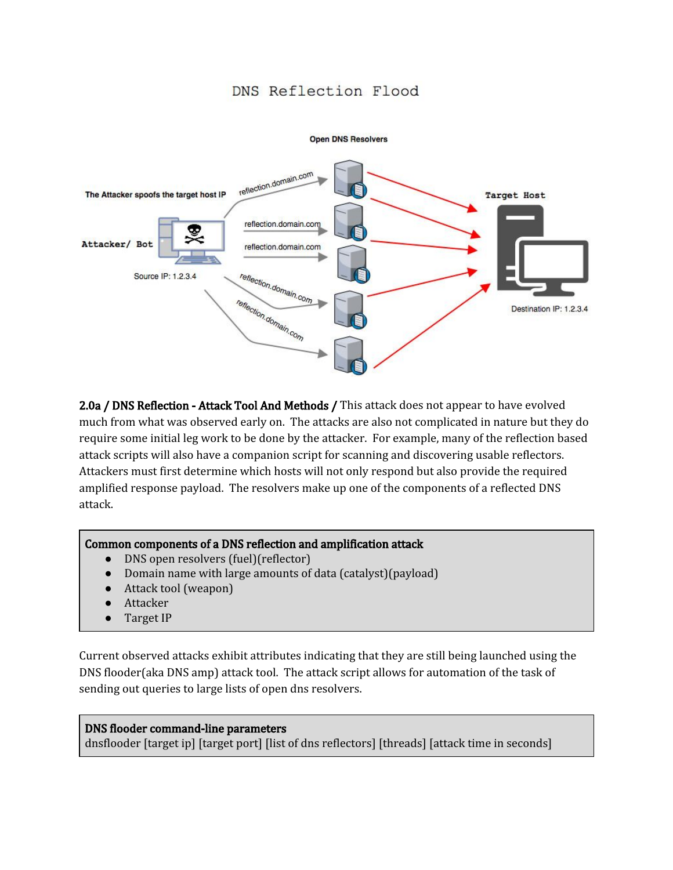# DNS Reflection Flood



2.0a / DNS Reflection - Attack Tool And Methods / This attack does not appear to have evolved much from what was observed early on. The attacks are also not complicated in nature but they do require some initial leg work to be done by the attacker. For example, many of the reflection based attack scripts will also have a companion script for scanning and discovering usable reflectors. Attackers must first determine which hosts will not only respond but also provide the required amplified response payload. The resolvers make up one of the components of a reflected DNS attack.

### Common components of a DNS reflection and amplification attack

- DNS open resolvers (fuel)(reflector)
- Domain name with large amounts of data (catalyst)(payload)
- Attack tool (weapon)
- Attacker
- Target IP

Current observed attacks exhibit attributes indicating that they are still being launched using the DNS flooder(aka DNS amp) attack tool. The attack script allows for automation of the task of sending out queries to large lists of open dns resolvers.

#### DNS flooder command-line parameters

dnsflooder [target ip] [target port] [list of dns reflectors] [threads] [attack time in seconds]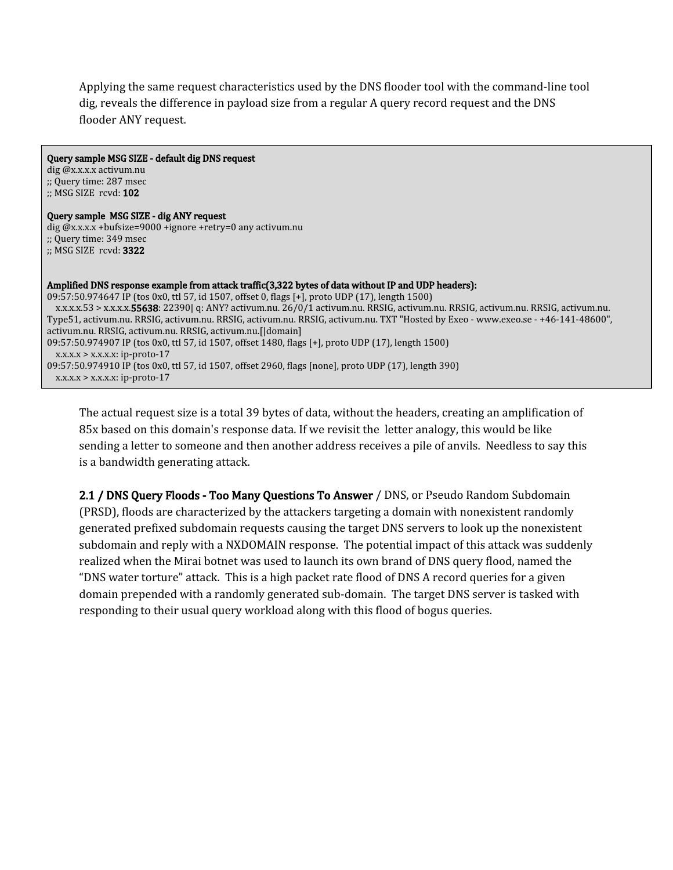Applying the same request characteristics used by the DNS flooder tool with the command-line tool dig, reveals the difference in payload size from a regular A query record request and the DNS flooder ANY request.

| Query sample MSG SIZE - default dig DNS request                                                                                    |
|------------------------------------------------------------------------------------------------------------------------------------|
| $dig$ $@x.x.x.x$ activum.nu                                                                                                        |
| $\therefore$ Query time: 287 msec                                                                                                  |
| $\therefore$ MSG SIZE rcvd: 102                                                                                                    |
| Query sample MSG SIZE - dig ANY request                                                                                            |
| $\pi$ dig @x.x.x.x + bufsize=9000 +ignore + retry=0 any activum.nu                                                                 |
| $\cdot$ ; Query time: 349 msec                                                                                                     |
| $\therefore$ MSG SIZE rcvd: 3322                                                                                                   |
|                                                                                                                                    |
|                                                                                                                                    |
| Amplified DNS response example from attack traffic (3,322 bytes of data without IP and UDP headers):                               |
| 09:57:50.974647 IP (tos 0x0, ttl 57, id 1507, offset 0, flags [+], proto UDP (17), length 1500)                                    |
| x.x.x.x.53 > x.x.x.x.55638: 22390  q: ANY? activum.nu. 26/0/1 activum.nu. RRSIG, activum.nu. RRSIG, activum.nu. RRSIG, activum.nu. |
| Type51, activum.nu. RRSIG, activum.nu. RRSIG, activum.nu. RRSIG, activum.nu. TXT "Hosted by Exeo - www.exeo.se - +46-141-48600",   |
| activum.nu. RRSIG, activum.nu. RRSIG, activum.nu.[ domain]                                                                         |
| 09:57:50.974907 IP (tos 0x0, ttl 57, id 1507, offset 1480, flags [+], proto UDP (17), length 1500)                                 |
| $X.X.X.X > X.X.X.X$ : ip-proto-17                                                                                                  |
|                                                                                                                                    |
| 09:57:50.974910 IP (tos 0x0, ttl 57, id 1507, offset 2960, flags [none], proto UDP (17), length 390)                               |
| $x.x.x.x > x.x.x.x$ : ip-proto-17                                                                                                  |

The actual request size is a total 39 bytes of data, without the headers, creating an amplification of 85x based on this domain's response data. If we revisit the letter analogy, this would be like sending a letter to someone and then another address receives a pile of anvils. Needless to say this is a bandwidth generating attack.

2.1 / DNS Query Floods - Too Many Questions To Answer / DNS, or Pseudo Random Subdomain (PRSD), floods are characterized by the attackers targeting a domain with nonexistent randomly generated prefixed subdomain requests causing the target DNS servers to look up the nonexistent subdomain and reply with a NXDOMAIN response. The potential impact of this attack was suddenly realized when the Mirai botnet was used to launch its own brand of DNS query flood, named the "DNS water torture" attack. This is a high packet rate flood of DNS A record queries for a given domain prepended with a randomly generated sub-domain. The target DNS server is tasked with responding to their usual query workload along with this flood of bogus queries.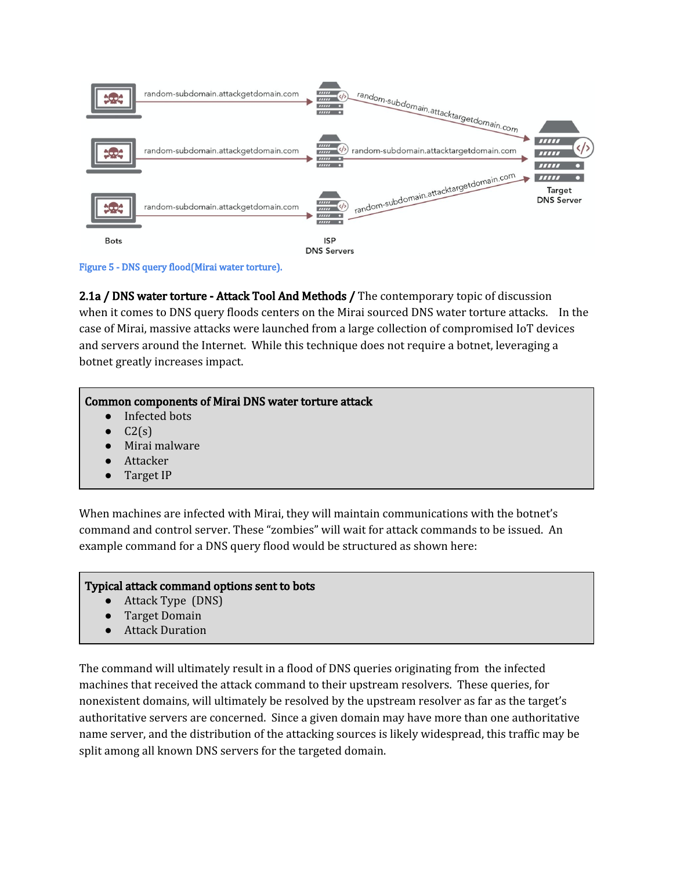

Figure 5 - DNS query flood(Mirai water torture).

2.1a / DNS water torture - Attack Tool And Methods / The contemporary topic of discussion when it comes to DNS query floods centers on the Mirai sourced DNS water torture attacks. In the case of Mirai, massive attacks were launched from a large collection of compromised IoT devices and servers around the Internet. While this technique does not require a botnet, leveraging a botnet greatly increases impact.

# Common components of Mirai DNS water torture attack

- Infected bots
- $C2(s)$
- Mirai malware
- Attacker
- Target IP

When machines are infected with Mirai, they will maintain communications with the botnet's command and control server. These "zombies" will wait for attack commands to be issued. An example command for a DNS query flood would be structured as shown here:

### Typical attack command options sent to bots

- Attack Type (DNS)
- **Target Domain**
- **Attack Duration**

The command will ultimately result in a flood of DNS queries originating from the infected machines that received the attack command to their upstream resolvers. These queries, for nonexistent domains, will ultimately be resolved by the upstream resolver as far as the target's authoritative servers are concerned. Since a given domain may have more than one authoritative name server, and the distribution of the attacking sources is likely widespread, this traffic may be split among all known DNS servers for the targeted domain.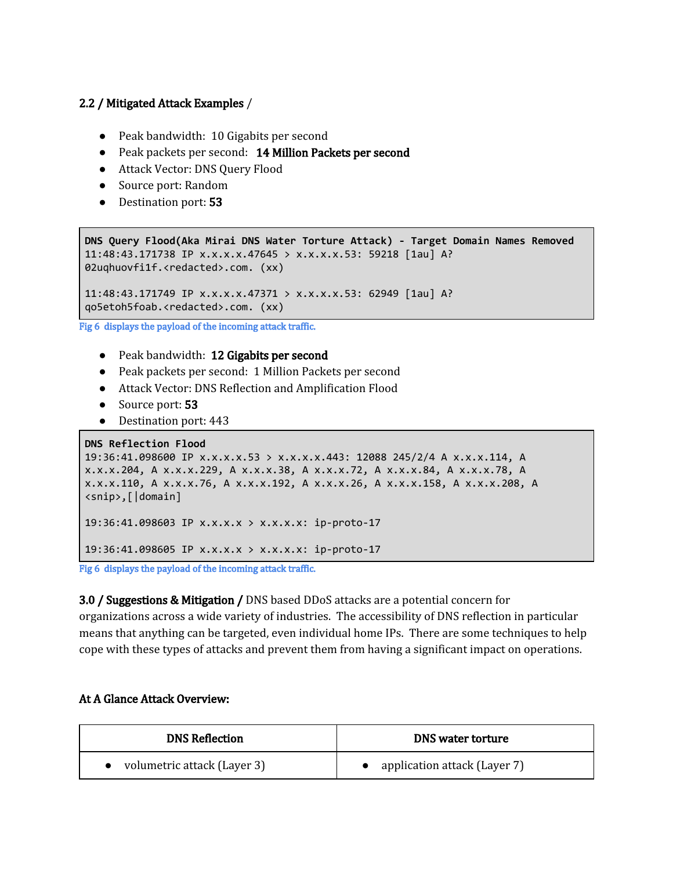## 2.2 / Mitigated Attack Examples /

- Peak bandwidth: 10 Gigabits per second
- Peak packets per second: 14 Million Packets per second
- Attack Vector: DNS Query Flood
- Source port: Random
- Destination port: **53**

```
DNS Query Flood(Aka Mirai DNS Water Torture Attack) - Target Domain Names Removed
11:48:43.171738 IP x.x.x.x.47645 > x.x.x.x.53: 59218 [1au] A?
02uqhuovfi1f.<redacted>.com. (xx)
11:48:43.171749 IP x.x.x.x.47371 > x.x.x.x.53: 62949 [1au] A?
```
qo5etoh5foab.<redacted>.com. (xx)

Fig 6 displays the payload of the incoming attack traffic.

- Peak bandwidth: 12 Gigabits per second
- Peak packets per second: 1 Million Packets per second
- Attack Vector: DNS Reflection and Amplification Flood
- Source port: 53
- Destination port: 443

```
DNS Reflection Flood
19:36:41.098600 IP x.x.x.x.53 > x.x.x.x.443: 12088 245/2/4 A x.x.x.114, A
x.x.x.204, A x.x.x.229, A x.x.x.38, A x.x.x.72, A x.x.x.84, A x.x.x.78, A
x.x.x.110, A x.x.x.76, A x.x.x.192, A x.x.x.26, A x.x.x.158, A x.x.x.208, A
<snip>,[|domain]
19:36:41.098603 IP x.x.x.x > x.x.x.x: ip-proto-17
19:36:41.098605 IP x.x.x.x > x.x.x.x: ip-proto-17
```
Fig 6 displays the payload of the incoming attack traffic.

3.0 / Suggestions & Mitigation / DNS based DDoS attacks are a potential concern for organizations across a wide variety of industries. The accessibility of DNS reflection in particular means that anything can be targeted, even individual home IPs. There are some techniques to help cope with these types of attacks and prevent them from having a significant impact on operations.

### At A Glance Attack Overview:

| <b>DNS Reflection</b>       | <b>DNS</b> water torture       |
|-----------------------------|--------------------------------|
| volumetric attack (Layer 3) | • application attack (Layer 7) |